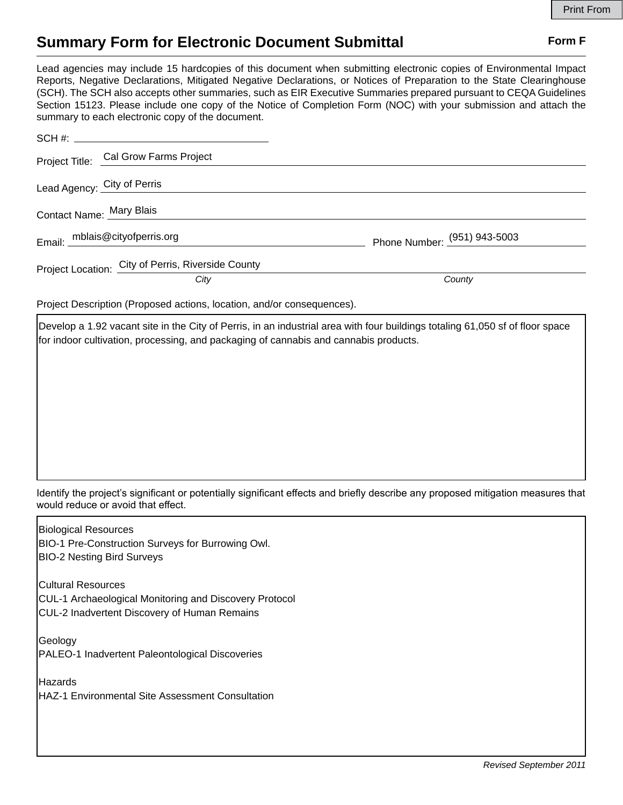## **Summary Form for Electronic Document Submittal Form F Form F**

Lead agencies may include 15 hardcopies of this document when submitting electronic copies of Environmental Impact Reports, Negative Declarations, Mitigated Negative Declarations, or Notices of Preparation to the State Clearinghouse (SCH). The SCH also accepts other summaries, such as EIR Executive Summaries prepared pursuant to CEQA Guidelines Section 15123. Please include one copy of the Notice of Completion Form (NOC) with your submission and attach the summary to each electronic copy of the document.

| SCH #: __________________________________          |                              |
|----------------------------------------------------|------------------------------|
| Project Title: Cal Grow Farms Project              |                              |
| Lead Agency: City of Perris                        |                              |
| Contact Name: Mary Blais                           |                              |
| Email: mblais@cityofperris.org                     | Phone Number: (951) 943-5003 |
| Project Location: City of Perris, Riverside County |                              |
| City                                               | County                       |

Project Description (Proposed actions, location, and/or consequences).

Develop a 1.92 vacant site in the City of Perris, in an industrial area with four buildings totaling 61,050 sf of floor space for indoor cultivation, processing, and packaging of cannabis and cannabis products.

Identify the project's significant or potentially significant effects and briefly describe any proposed mitigation measures that would reduce or avoid that effect.

Biological Resources BIO-1 Pre-Construction Surveys for Burrowing Owl. BIO-2 Nesting Bird Surveys Cultural Resources CUL-1 Archaeological Monitoring and Discovery Protocol CUL-2 Inadvertent Discovery of Human Remains Geology PALEO-1 Inadvertent Paleontological Discoveries Hazards HAZ-1 Environmental Site Assessment Consultation